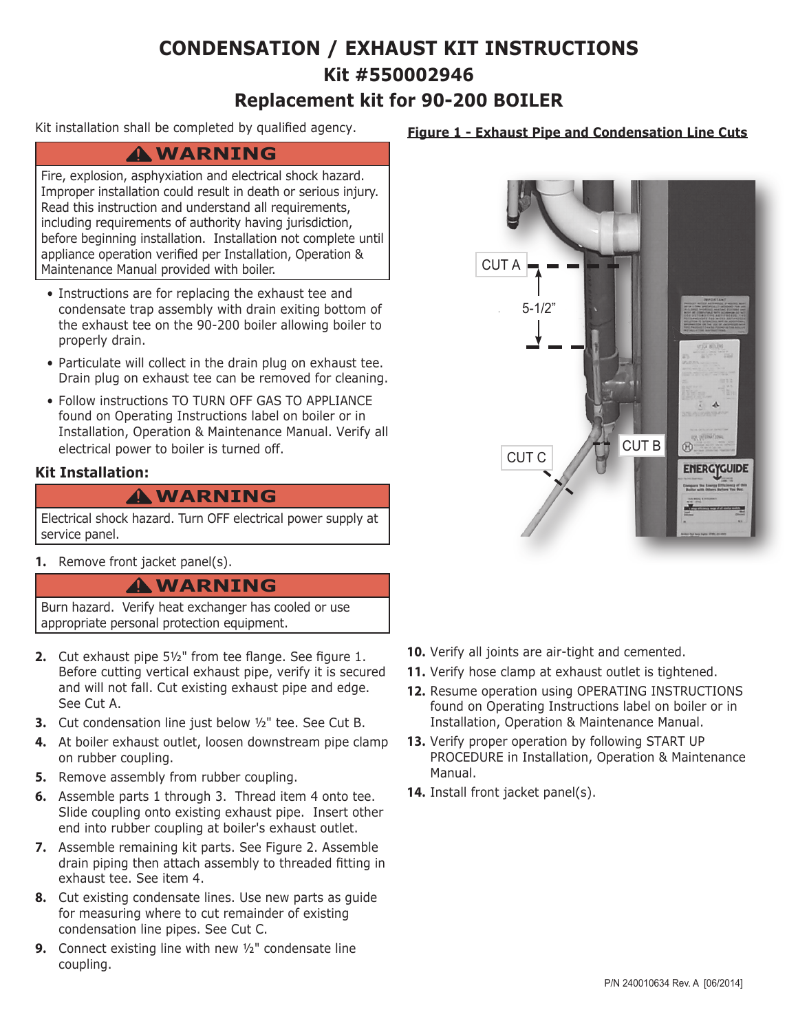## **CONDENSATION / EXHAUST KIT INSTRUCTIONS Kit #550002946 Replacement kit for 90-200 BOILER**

Kit installation shall be completed by qualified agency.

### **WARNING !**

Fire, explosion, asphyxiation and electrical shock hazard. Improper installation could result in death or serious injury. Read this instruction and understand all requirements, including requirements of authority having jurisdiction, before beginning installation. Installation not complete until appliance operation verified per Installation, Operation & Maintenance Manual provided with boiler.

- Instructions are for replacing the exhaust tee and condensate trap assembly with drain exiting bottom of the exhaust tee on the 90-200 boiler allowing boiler to properly drain.
- Particulate will collect in the drain plug on exhaust tee. Drain plug on exhaust tee can be removed for cleaning.
- Follow instructions TO TURN OFF GAS TO APPLIANCE found on Operating Instructions label on boiler or in Installation, Operation & Maintenance Manual. Verify all electrical power to boiler is turned off.

#### **Kit Installation:**

### **WARNING !**

Electrical shock hazard. Turn OFF electrical power supply at service panel.

**1.** Remove front jacket panel(s).

### **WARNING !**

Burn hazard. Verify heat exchanger has cooled or use appropriate personal protection equipment.

- **2.** Cut exhaust pipe 5½" from tee flange. See figure 1. Before cutting vertical exhaust pipe, verify it is secured and will not fall. Cut existing exhaust pipe and edge. See Cut A.
- **3.** Cut condensation line just below ½" tee. See Cut B.
- **4.** At boiler exhaust outlet, loosen downstream pipe clamp on rubber coupling.
- **5.** Remove assembly from rubber coupling.
- **6.** Assemble parts 1 through 3. Thread item 4 onto tee. Slide coupling onto existing exhaust pipe. Insert other end into rubber coupling at boiler's exhaust outlet.
- **7.** Assemble remaining kit parts. See Figure 2. Assemble drain piping then attach assembly to threaded fitting in exhaust tee. See item 4.
- **8.** Cut existing condensate lines. Use new parts as guide for measuring where to cut remainder of existing condensation line pipes. See Cut C.
- **9.** Connect existing line with new ½" condensate line coupling.

#### **Figure 1 - Exhaust Pipe and Condensation Line Cuts**



- **10.** Verify all joints are air-tight and cemented.
- **11.** Verify hose clamp at exhaust outlet is tightened.
- **12.** Resume operation using OPERATING INSTRUCTIONS found on Operating Instructions label on boiler or in Installation, Operation & Maintenance Manual.
- **13.** Verify proper operation by following START UP PROCEDURE in Installation, Operation & Maintenance Manual.
- **14.** Install front jacket panel(s).